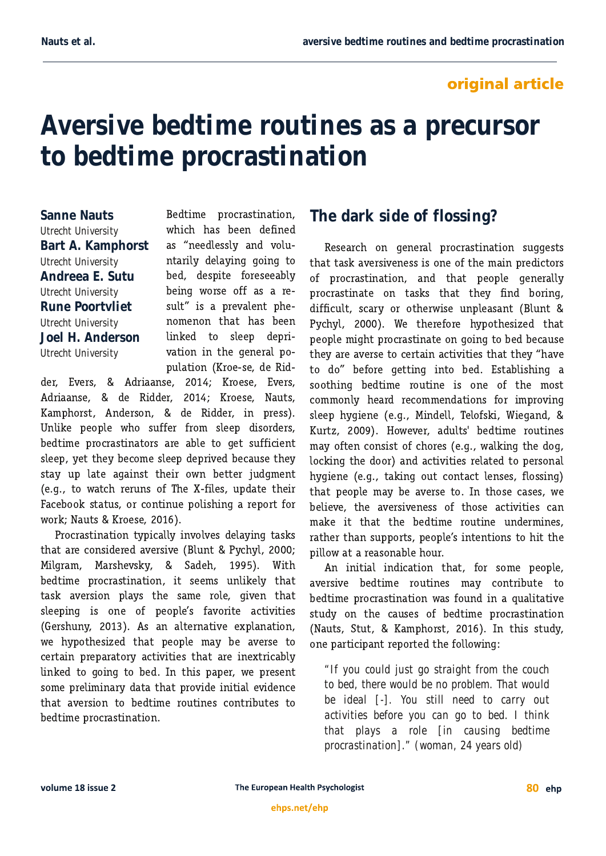## **original article**

# **Aversive bedtime routines as a precursor to bedtime procrastination**

**Sanne Nauts** *Utrecht University* **Bart A. Kamphorst** *Utrecht University* **Andreea E. Sutu** *Utrecht University* **Rune Poortvliet** *Utrecht University* **Joel H. Anderson** *Utrecht University*

Bedtime procrastination, which has been defined as "needlessly and voluntarily delaying going to bed, despite foreseeably being worse off as a result" is a prevalent phenomenon that has been linked to sleep deprivation in the general population (Kroe-se, de Rid-

der, Evers, & Adriaanse, 2014; Kroese, Evers, Adriaanse, & de Ridder, 2014; Kroese, Nauts, Kamphorst, Anderson, & de Ridder, in press). Unlike people who suffer from sleep disorders, bedtime procrastinators are able to get sufficient sleep, yet they become sleep deprived because they stay up late against their own better judgment (e.g., to watch reruns of The X-files, update their Facebook status, or continue polishing a report for work; Nauts & Kroese, 2016).

Procrastination typically involves delaying tasks that are considered aversive (Blunt & Pychyl, 2000; Milgram, Marshevsky, & Sadeh, 1995). With bedtime procrastination, it seems unlikely that task aversion plays the same role, given that sleeping is one of people's favorite activities (Gershuny, 2013). As an alternative explanation, we hypothesized that people may be averse to certain preparatory activities that are inextricably linked to going to bed. In this paper, we present some preliminary data that provide initial evidence that aversion to bedtime routines contributes to bedtime procrastination.

# **The dark side of flossing?**

Research on general procrastination suggests that task aversiveness is one of the main predictors of procrastination, and that people generally procrastinate on tasks that they find boring, difficult, scary or otherwise unpleasant (Blunt & Pychyl, 2000). We therefore hypothesized that people might procrastinate on going to bed because they are averse to certain activities that they "have to do" before getting into bed. Establishing a soothing bedtime routine is one of the most commonly heard recommendations for improving sleep hygiene (e.g., Mindell, Telofski, Wiegand, & Kurtz, 2009). However, adults' bedtime routines may often consist of chores (e.g., walking the dog, locking the door) and activities related to personal hygiene (e.g., taking out contact lenses, flossing) that people may be averse to. In those cases, we believe, the aversiveness of those activities can make it that the bedtime routine undermines. rather than supports, people's intentions to hit the pillow at a reasonable hour.

An initial indication that, for some people, aversive bedtime routines may contribute to bedtime procrastination was found in a qualitative study on the causes of bedtime procrastination (Nauts, Stut, & Kamphorst, 2016). In this study, one participant reported the following:

*"If you could just go straight from the couch to bed, there would be no problem. That would be ideal [-]. You still need to carry out activities before you can go to bed. I think that plays a role [in causing bedtime procrastination]." (woman, 24 years old)*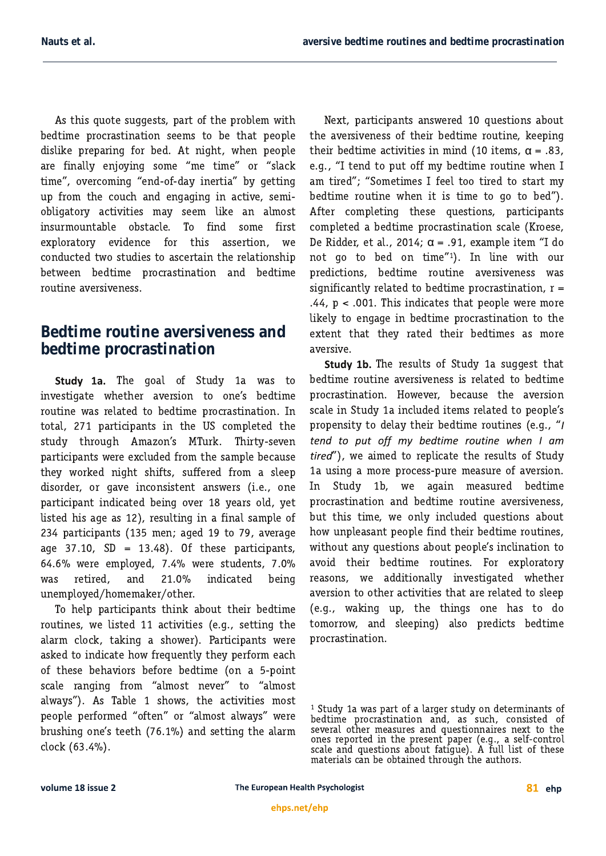As this quote suggests, part of the problem with bedtime procrastination seems to be that people dislike preparing for bed. At night, when people are finally enjoying some "me time" or "slack time", overcoming "end-of-day inertia" by getting up from the couch and engaging in active, semiobligatory activities may seem like an almost insurmountable obstacle. To find some first exploratory evidence for this assertion, we conducted two studies to ascertain the relationship between bedtime procrastination and bedtime routine aversiveness.

## **Bedtime routine aversiveness and bedtime procrastination**

Study 1a. The goal of Study 1a was to investigate whether aversion to one's bedtime routine was related to bedtime procrastination. In total, 271 participants in the US completed the study through Amazon's MTurk. Thirty-seven participants were excluded from the sample because they worked night shifts, suffered from a sleep disorder, or gave inconsistent answers (i.e., one participant indicated being over 18 years old, yet listed his age as 12), resulting in a final sample of 234 participants (135 men; aged 19 to 79, average age 37.10, SD = 13.48). Of these participants, 64.6% were employed, 7.4% were students, 7.0% was retired, and 21.0% indicated being unemployed/homemaker/other.

To help participants think about their bedtime routines, we listed 11 activities (e.g., setting the alarm clock, taking a shower). Participants were asked to indicate how frequently they perform each of these behaviors before bedtime (on a 5-point scale ranging from "almost never" to "almost always"). As Table 1 shows, the activities most people performed "often" or "almost always" were brushing one's teeth (76.1%) and setting the alarm clock (63.4%).

Next, participants answered 10 questions about the aversiveness of their bedtime routine, keeping their bedtime activities in mind (10 items,  $\alpha = .83$ , e.g., "I tend to put off my bedtime routine when I am tired"; "Sometimes I feel too tired to start my bedtime routine when it is time to go to bed"). After completing these questions, participants completed a bedtime procrastination scale (Kroese, De Ridder, et al., 2014;  $\alpha$  = .91, example item "I do not go to bed on time"1). In line with our predictions, bedtime routine aversiveness was significantly related to bedtime procrastination,  $r =$  $.44$ ,  $p < .001$ . This indicates that people were more likely to engage in bedtime procrastination to the extent that they rated their bedtimes as more aversive.

Study 1b. The results of Study 1a suggest that bedtime routine aversiveness is related to bedtime procrastination. However, because the aversion scale in Study 1a included items related to people's propensity to delay their bedtime routines (e.g., " tend to put off my bedtime routine when I am tired"), we aimed to replicate the results of Study 1a using a more process-pure measure of aversion. In Study 1b, we again measured bedtime procrastination and bedtime routine aversiveness, but this time, we only included questions about how unpleasant people find their bedtime routines, without any questions about people's inclination to avoid their bedtime routines. For exploratory reasons, we additionally investigated whether aversion to other activities that are related to sleep (e.g., waking up, the things one has to do tomorrow, and sleeping) also predicts bedtime procrastination.

<sup>&</sup>lt;sup>1</sup> Study 1a was part of a larger study on determinants of bedtime procrastination and, as such, consisted of several other measures and questionnaires next to the ones reported in the present paper (e.g., a self-control scale and questions about fatigue). A full list of these materials can be obtained through the authors.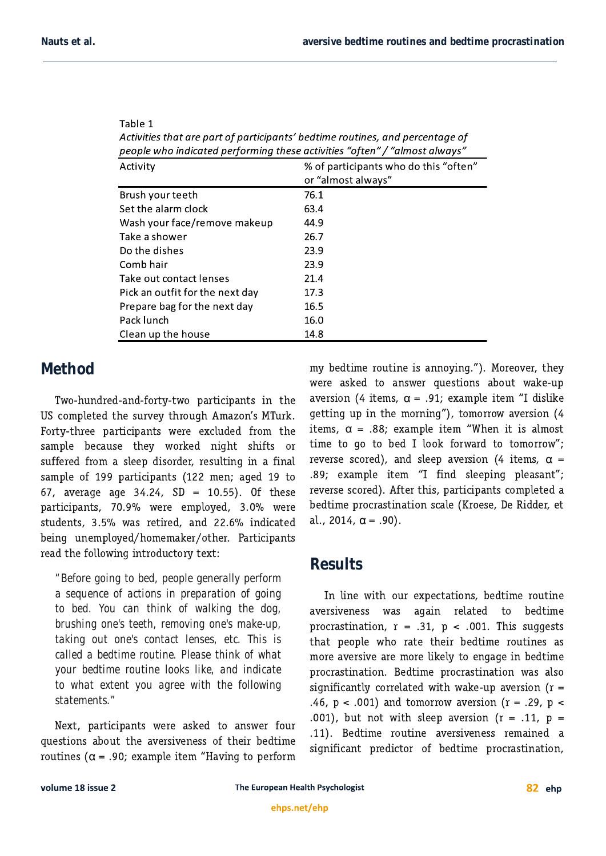| people who indicated performing these activities "often" / "almost always" |                                                             |
|----------------------------------------------------------------------------|-------------------------------------------------------------|
| Activity                                                                   | % of participants who do this "often"<br>or "almost always" |
| Brush your teeth                                                           | 76.1                                                        |
| Set the alarm clock                                                        | 63.4                                                        |
| Wash your face/remove makeup                                               | 44.9                                                        |
| Take a shower                                                              | 26.7                                                        |
| Do the dishes                                                              | 23.9                                                        |
| Comb hair                                                                  | 23.9                                                        |
| Take out contact lenses                                                    | 21.4                                                        |
| Pick an outfit for the next day                                            | 17.3                                                        |
| Prepare bag for the next day                                               | 16.5                                                        |
| Pack lunch                                                                 | 16.0                                                        |
| Clean up the house                                                         | 14.8                                                        |

| Table 1                                                                       |
|-------------------------------------------------------------------------------|
| Activities that are part of participants' bedtime routines, and percentage of |
| people who indicated performina these activities "often" / "almost always"    |

## **Method**

Two-hundred-and-forty-two participants in the US completed the survey through Amazon's MTurk. Forty-three participants were excluded from the sample because they worked night shifts or suffered from a sleep disorder, resulting in a final sample of 199 participants (122 men; aged 19 to 67, average age 34.24,  $SD = 10.55$ ). Of these participants, 70.9% were employed, 3.0% were students, 3.5% was retired, and 22.6% indicated being unemployed/homemaker/other. Participants read the following introductory text:

*"Before going to bed, people generally perform a sequence of actions in preparation of going to bed. You can think of walking the dog, brushing one's teeth, removing one's make-up, taking out one's contact lenses, etc. This is called a bedtime routine. Please think of what your bedtime routine looks like, and indicate to what extent you agree with the following statements."*

Next, participants were asked to answer four questions about the aversiveness of their bedtime routines ( $\alpha$  = .90; example item "Having to perform

my bedtime routine is annoying."). Moreover, they were asked to answer questions about wake-up aversion (4 items,  $\alpha$  = .91; example item "I dislike getting up in the morning"), tomorrow aversion (4 items,  $\alpha$  = .88; example item "When it is almost time to go to bed I look forward to tomorrow"; reverse scored), and sleep aversion (4 items,  $\alpha$  = .89; example item "I find sleeping pleasant"; reverse scored). After this, participants completed a bedtime procrastination scale (Kroese, De Ridder, et al., 2014,  $\alpha = .90$ ).

## **Results**

In line with our expectations, bedtime routine aversiveness was again related to bedtime procrastination,  $r = .31$ ,  $p < .001$ . This suggests that people who rate their bedtime routines as more aversive are more likely to engage in bedtime procrastination. Bedtime procrastination was also significantly correlated with wake-up aversion ( $r =$ .46,  $p < .001$ ) and tomorrow aversion (r = .29,  $p <$ .001), but not with sleep aversion ( $r = .11$ ,  $p =$ .11). Bedtime routine aversiveness remained a significant predictor of bedtime procrastination,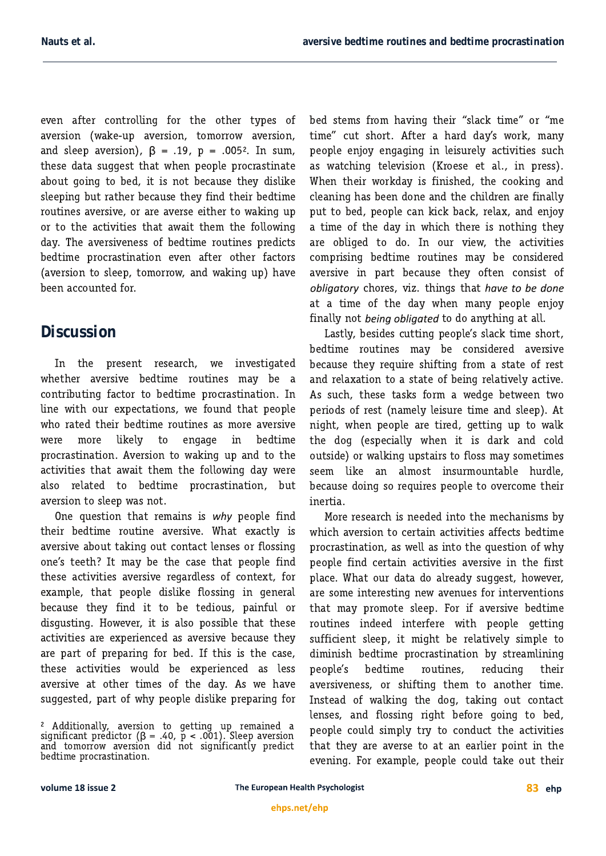even after controlling for the other types of aversion (wake-up aversion, tomorrow aversion, and sleep aversion),  $\beta$  = .19, p = .005<sup>2</sup>. In sum, these data suggest that when people procrastinate about going to bed, it is not because they dislike sleeping but rather because they find their bedtime routines aversive, or are averse either to waking up or to the activities that await them the following day. The aversiveness of bedtime routines predicts bedtime procrastination even after other factors (aversion to sleep, tomorrow, and waking up) have been accounted for.

#### **Discussion**

In the present research, we investigated whether aversive bedtime routines may be a contributing factor to bedtime procrastination. In line with our expectations, we found that people who rated their bedtime routines as more aversive were more likely to engage in bedtime procrastination. Aversion to waking up and to the activities that await them the following day were also related to bedtime procrastination, but aversion to sleep was not.

One question that remains is why people find their bedtime routine aversive. What exactly is aversive about taking out contact lenses or flossing one's teeth? It may be the case that people find these activities aversive regardless of context, for example, that people dislike flossing in general because they find it to be tedious, painful or disgusting. However, it is also possible that these activities are experienced as aversive because they are part of preparing for bed. If this is the case, these activities would be experienced as less aversive at other times of the day. As we have suqqested, part of why people dislike preparing for

bed stems from having their "slack time" or "me time" cut short. After a hard day's work, many people enjoy engaging in leisurely activities such as watching television (Kroese et al., in press). When their workday is finished, the cooking and cleaning has been done and the children are finally put to bed, people can kick back, relax, and enjoy a time of the day in which there is nothing they are obliged to do. In our view, the activities comprising bedtime routines may be considered aversive in part because they often consist of chores, viz. things that at a time of the day when many people enjoy finally not being obligated to do anything at all.

Lastly, besides cutting people's slack time short, bedtime routines may be considered aversive because they require shifting from a state of rest and relaxation to a state of being relatively active. As such, these tasks form a wedge between two periods of rest (namely leisure time and sleep). At night, when people are tired, getting up to walk the dog (especially when it is dark and cold outside) or walking upstairs to floss may sometimes seem like an almost insurmountable hurdle, because doing so requires people to overcome their inertia.

More research is needed into the mechanisms by which aversion to certain activities affects bedtime procrastination, as well as into the question of why people find certain activities aversive in the first place. What our data do already suggest, however, are some interesting new avenues for interventions that may promote sleep. For if aversive bedtime routines indeed interfere with people getting sufficient sleep, it might be relatively simple to diminish bedtime procrastination by streamlining people's bedtime routines, reducing their aversiveness, or shifting them to another time. Instead of walking the dog, taking out contact lenses, and flossing right before going to bed, people could simply try to conduct the activities that they are averse to at an earlier point in the evening. For example, people could take out their

 $^2$  Additionally, aversion to getting up remained a significant predictor ( $\beta$  = .40,  $\bar{p}$  < .001). Sleep aversion and tomorrow aversion did not significantly predict bedtime procrastination.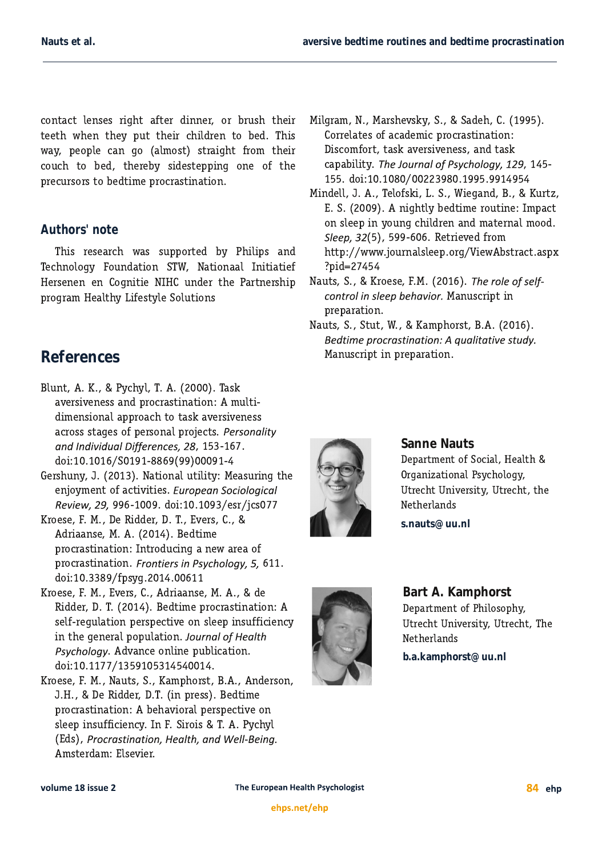contact lenses right after dinner, or brush their teeth when they put their children to bed. This way, people can go (almost) straight from their couch to bed, thereby sidestepping one of the precursors to bedtime procrastination.

#### *Authors' note*

This research was supported by Philips and Technology Foundation STW, Nationaal Initiatief Hersenen en Cognitie NIHC under the Partnership program Healthy Lifestyle Solutions

# **References**

- Blunt, A. K., & Pychyl, T. A. (2000). Task aversiveness and procrastination: A multidimensional approach to task aversiveness across stages of personal projects.  $, 153-167.$ doi:10.1016/S0191-8869(99)00091-4
- Gershuny, J. (2013). National utility: Measuring the enjoyment of activities. 996-1009. doi:10.1093/esr/jcs077
- Kroese, F. M., De Ridder, D. T., Evers, C., & Adriaanse, M. A. (2014). Bedtime procrastination: Introducing a new area of procrastination. Frontiers in Psychology, 5, 611. doi:10.3389/fpsyg.2014.00611
- Kroese, F. M., Evers, C., Adriaanse, M. A., & de Ridder, D. T. (2014). Bedtime procrastination: A self-requlation perspective on sleep insufficiency in the general population. . Advance online publication. doi:10.1177/1359105314540014.
- Kroese, F. M., Nauts, S., Kamphorst, B.A., Anderson, J.H., & De Ridder, D.T. (in press). Bedtime procrastination: A behavioral perspective on sleep insufficiency. In F. Sirois & T. A. Pychyl (Eds), Procrastination, Health, and Well-Being. Amsterdam: Elsevier.
- Milgram, N., Marshevsky, S., & Sadeh, C. (1995). Correlates of academic procrastination: Discomfort, task aversiveness, and task capability. The Journal of Psychology, 129, 145-155. doi:10.1080/00223980.1995.9914954
- Mindell, J. A., Telofski, L. S., Wiegand, B., & Kurtz, E. S. (2009). A nightly bedtime routine: Impact on sleep in young children and maternal mood. (5), 599-606. Retrieved from http://www.journalsleep.org/ViewAbstract.aspx ?pid=27454
- Nauts, S., & Kroese, F.M. (2016). control in sleep behavior. Manuscript in preparation.
- Nauts, S., Stut, W., & Kamphorst, B.A. (2016). Bedtime procrastination: A qualitative study. Manuscript in preparation.



#### **Sanne Nauts**

Department of Social, Health & Organizational Psychology, Utrecht University, Utrecht, the Netherlands

**s.nauts@uu.nl**



## **Bart A. Kamphorst** Department of Philosophy, Utrecht University, Utrecht, The Netherlands

**b.a.kamphorst@uu.nl**